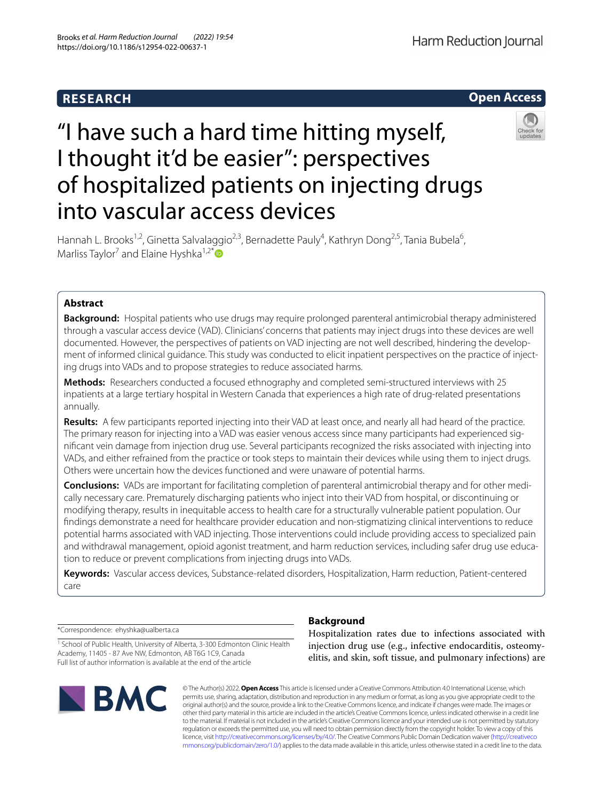## **RESEARCH**



# "I have such a hard time hitting myself, I thought it'd be easier": perspectives of hospitalized patients on injecting drugs into vascular access devices



Hannah L. Brooks<sup>1,2</sup>, Ginetta Salvalaggio<sup>2,3</sup>, Bernadette Pauly<sup>4</sup>, Kathryn Dong<sup>2,5</sup>, Tania Bubela<sup>6</sup>, Marliss Taylor<sup>7</sup> and Elaine Hyshka<sup>1,2\*</sup>

## **Abstract**

**Background:** Hospital patients who use drugs may require prolonged parenteral antimicrobial therapy administered through a vascular access device (VAD). Clinicians' concerns that patients may inject drugs into these devices are well documented. However, the perspectives of patients on VAD injecting are not well described, hindering the development of informed clinical guidance. This study was conducted to elicit inpatient perspectives on the practice of injecting drugs into VADs and to propose strategies to reduce associated harms.

**Methods:** Researchers conducted a focused ethnography and completed semi-structured interviews with 25 inpatients at a large tertiary hospital in Western Canada that experiences a high rate of drug-related presentations annually.

**Results:** A few participants reported injecting into their VAD at least once, and nearly all had heard of the practice. The primary reason for injecting into a VAD was easier venous access since many participants had experienced signifcant vein damage from injection drug use. Several participants recognized the risks associated with injecting into VADs, and either refrained from the practice or took steps to maintain their devices while using them to inject drugs. Others were uncertain how the devices functioned and were unaware of potential harms.

**Conclusions:** VADs are important for facilitating completion of parenteral antimicrobial therapy and for other medically necessary care. Prematurely discharging patients who inject into their VAD from hospital, or discontinuing or modifying therapy, results in inequitable access to health care for a structurally vulnerable patient population. Our fndings demonstrate a need for healthcare provider education and non-stigmatizing clinical interventions to reduce potential harms associated with VAD injecting. Those interventions could include providing access to specialized pain and withdrawal management, opioid agonist treatment, and harm reduction services, including safer drug use education to reduce or prevent complications from injecting drugs into VADs.

**Keywords:** Vascular access devices, Substance-related disorders, Hospitalization, Harm reduction, Patient-centered care

\*Correspondence: ehyshka@ualberta.ca

## **Background**

<sup>1</sup> School of Public Health, University of Alberta, 3-300 Edmonton Clinic Health Academy, 11405 - 87 Ave NW, Edmonton, AB T6G 1C9, Canada Full list of author information is available at the end of the article



Hospitalization rates due to infections associated with injection drug use (e.g., infective endocarditis, osteomyelitis, and skin, soft tissue, and pulmonary infections) are

© The Author(s) 2022. **Open Access** This article is licensed under a Creative Commons Attribution 4.0 International License, which permits use, sharing, adaptation, distribution and reproduction in any medium or format, as long as you give appropriate credit to the original author(s) and the source, provide a link to the Creative Commons licence, and indicate if changes were made. The images or other third party material in this article are included in the article's Creative Commons licence, unless indicated otherwise in a credit line to the material. If material is not included in the article's Creative Commons licence and your intended use is not permitted by statutory regulation or exceeds the permitted use, you will need to obtain permission directly from the copyright holder. To view a copy of this licence, visit [http://creativecommons.org/licenses/by/4.0/.](http://creativecommons.org/licenses/by/4.0/) The Creative Commons Public Domain Dedication waiver ([http://creativeco](http://creativecommons.org/publicdomain/zero/1.0/) [mmons.org/publicdomain/zero/1.0/](http://creativecommons.org/publicdomain/zero/1.0/)) applies to the data made available in this article, unless otherwise stated in a credit line to the data.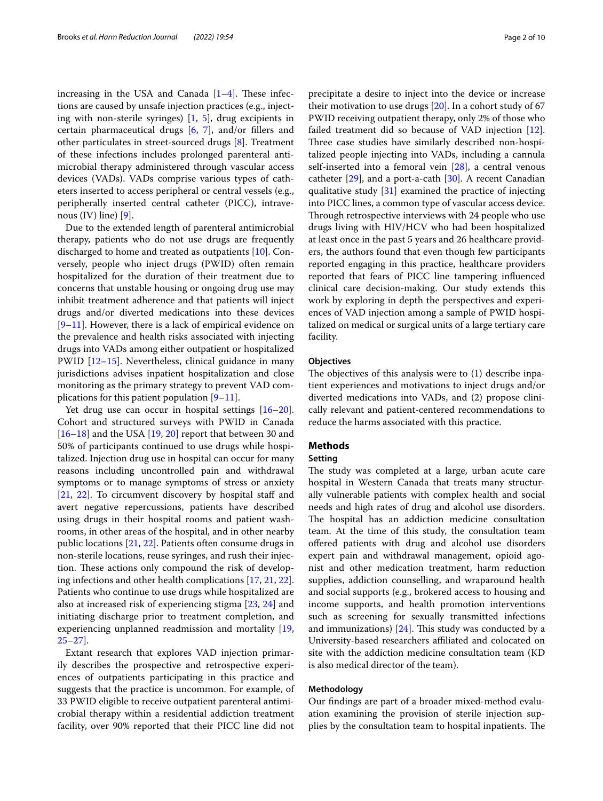increasing in the USA and Canada  $[1-4]$  $[1-4]$  $[1-4]$ . These infections are caused by unsafe injection practices (e.g., injecting with non-sterile syringes) [\[1](#page-7-0), [5\]](#page-7-2), drug excipients in certain pharmaceutical drugs [[6,](#page-7-3) [7\]](#page-7-4), and/or fllers and other particulates in street-sourced drugs [\[8](#page-7-5)]. Treatment of these infections includes prolonged parenteral antimicrobial therapy administered through vascular access devices (VADs). VADs comprise various types of catheters inserted to access peripheral or central vessels (e.g., peripherally inserted central catheter (PICC), intravenous  $(IV)$  line)  $[9]$  $[9]$ .

Due to the extended length of parenteral antimicrobial therapy, patients who do not use drugs are frequently discharged to home and treated as outpatients [[10\]](#page-7-7). Conversely, people who inject drugs (PWID) often remain hospitalized for the duration of their treatment due to concerns that unstable housing or ongoing drug use may inhibit treatment adherence and that patients will inject drugs and/or diverted medications into these devices [[9–](#page-7-6)[11\]](#page-7-8). However, there is a lack of empirical evidence on the prevalence and health risks associated with injecting drugs into VADs among either outpatient or hospitalized PWID [[12–](#page-7-9)[15](#page-7-10)]. Nevertheless, clinical guidance in many jurisdictions advises inpatient hospitalization and close monitoring as the primary strategy to prevent VAD complications for this patient population  $[9-11]$  $[9-11]$  $[9-11]$ .

Yet drug use can occur in hospital settings [[16](#page-7-11)[–20](#page-8-0)]. Cohort and structured surveys with PWID in Canada [[16–](#page-7-11)[18](#page-8-1)] and the USA [\[19,](#page-8-2) [20](#page-8-0)] report that between 30 and 50% of participants continued to use drugs while hospitalized. Injection drug use in hospital can occur for many reasons including uncontrolled pain and withdrawal symptoms or to manage symptoms of stress or anxiety [[21,](#page-8-3) [22\]](#page-8-4). To circumvent discovery by hospital staff and avert negative repercussions, patients have described using drugs in their hospital rooms and patient washrooms, in other areas of the hospital, and in other nearby public locations [\[21,](#page-8-3) [22](#page-8-4)]. Patients often consume drugs in non-sterile locations, reuse syringes, and rush their injection. These actions only compound the risk of developing infections and other health complications [[17](#page-7-12), [21,](#page-8-3) [22](#page-8-4)]. Patients who continue to use drugs while hospitalized are also at increased risk of experiencing stigma [[23,](#page-8-5) [24](#page-8-6)] and initiating discharge prior to treatment completion, and experiencing unplanned readmission and mortality [\[19](#page-8-2), [25](#page-8-7)[–27](#page-8-8)].

Extant research that explores VAD injection primarily describes the prospective and retrospective experiences of outpatients participating in this practice and suggests that the practice is uncommon. For example, of 33 PWID eligible to receive outpatient parenteral antimicrobial therapy within a residential addiction treatment facility, over 90% reported that their PICC line did not precipitate a desire to inject into the device or increase their motivation to use drugs [[20\]](#page-8-0). In a cohort study of 67 PWID receiving outpatient therapy, only 2% of those who failed treatment did so because of VAD injection [\[12](#page-7-9)]. Three case studies have similarly described non-hospitalized people injecting into VADs, including a cannula self-inserted into a femoral vein  $[28]$  $[28]$ , a central venous catheter  $[29]$  $[29]$  $[29]$ , and a port-a-cath  $[30]$  $[30]$ . A recent Canadian qualitative study  $[31]$  $[31]$  $[31]$  examined the practice of injecting into PICC lines, a common type of vascular access device. Through retrospective interviews with 24 people who use drugs living with HIV/HCV who had been hospitalized at least once in the past 5 years and 26 healthcare providers, the authors found that even though few participants reported engaging in this practice, healthcare providers reported that fears of PICC line tampering infuenced clinical care decision-making. Our study extends this work by exploring in depth the perspectives and experiences of VAD injection among a sample of PWID hospitalized on medical or surgical units of a large tertiary care facility.

## **Objectives**

The objectives of this analysis were to  $(1)$  describe inpatient experiences and motivations to inject drugs and/or diverted medications into VADs, and (2) propose clinically relevant and patient-centered recommendations to reduce the harms associated with this practice.

## **Methods**

## **Setting**

The study was completed at a large, urban acute care hospital in Western Canada that treats many structurally vulnerable patients with complex health and social needs and high rates of drug and alcohol use disorders. The hospital has an addiction medicine consultation team. At the time of this study, the consultation team ofered patients with drug and alcohol use disorders expert pain and withdrawal management, opioid agonist and other medication treatment, harm reduction supplies, addiction counselling, and wraparound health and social supports (e.g., brokered access to housing and income supports, and health promotion interventions such as screening for sexually transmitted infections and immunizations)  $[24]$  $[24]$ . This study was conducted by a University-based researchers afliated and colocated on site with the addiction medicine consultation team (KD is also medical director of the team).

## **Methodology**

Our fndings are part of a broader mixed-method evaluation examining the provision of sterile injection supplies by the consultation team to hospital inpatients. The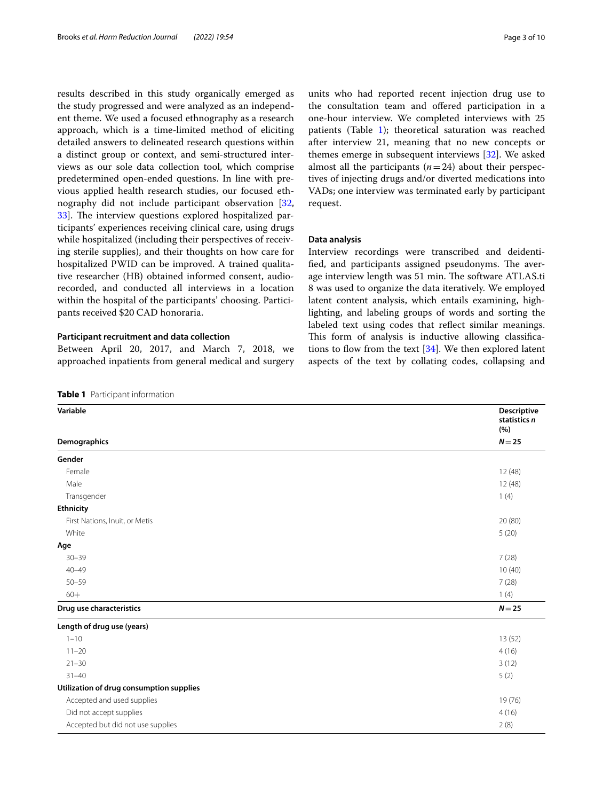results described in this study organically emerged as the study progressed and were analyzed as an independent theme. We used a focused ethnography as a research approach, which is a time-limited method of eliciting detailed answers to delineated research questions within a distinct group or context, and semi-structured interviews as our sole data collection tool, which comprise predetermined open-ended questions. In line with previous applied health research studies, our focused ethnography did not include participant observation [\[32](#page-8-13), [33\]](#page-8-14). The interview questions explored hospitalized participants' experiences receiving clinical care, using drugs while hospitalized (including their perspectives of receiving sterile supplies), and their thoughts on how care for hospitalized PWID can be improved. A trained qualitative researcher (HB) obtained informed consent, audiorecorded, and conducted all interviews in a location within the hospital of the participants' choosing. Participants received \$20 CAD honoraria.

## **Participant recruitment and data collection**

Between April 20, 2017, and March 7, 2018, we approached inpatients from general medical and surgery

<span id="page-2-0"></span>**Table 1** Participant information

units who had reported recent injection drug use to the consultation team and ofered participation in a one-hour interview. We completed interviews with 25 patients (Table [1\)](#page-2-0); theoretical saturation was reached after interview 21, meaning that no new concepts or themes emerge in subsequent interviews [\[32](#page-8-13)]. We asked almost all the participants  $(n=24)$  about their perspectives of injecting drugs and/or diverted medications into VADs; one interview was terminated early by participant request.

## **Data analysis**

Interview recordings were transcribed and deidentified, and participants assigned pseudonyms. The average interview length was 51 min. The software ATLAS.ti 8 was used to organize the data iteratively. We employed latent content analysis, which entails examining, highlighting, and labeling groups of words and sorting the labeled text using codes that refect similar meanings. This form of analysis is inductive allowing classifications to flow from the text  $[34]$  $[34]$ . We then explored latent aspects of the text by collating codes, collapsing and

| Variable<br>Demographics                 | Descriptive<br>statistics n<br>(%) |
|------------------------------------------|------------------------------------|
|                                          | $N = 25$                           |
| Gender                                   |                                    |
| Female                                   | 12 (48)                            |
| Male                                     | 12(48)                             |
| Transgender                              | 1(4)                               |
| Ethnicity                                |                                    |
| First Nations, Inuit, or Metis           | 20(80)                             |
| White                                    | 5(20)                              |
| Age                                      |                                    |
| $30 - 39$                                | 7(28)                              |
| $40 - 49$                                | 10(40)                             |
| $50 - 59$                                | 7(28)                              |
| $60+$                                    | 1(4)                               |
| Drug use characteristics                 | $N = 25$                           |
| Length of drug use (years)               |                                    |
| $1 - 10$                                 | 13(52)                             |
| $11 - 20$                                | 4(16)                              |
| $21 - 30$                                | 3(12)                              |
| $31 - 40$                                | 5(2)                               |
| Utilization of drug consumption supplies |                                    |
| Accepted and used supplies               | 19 (76)                            |
| Did not accept supplies                  | 4(16)                              |
| Accepted but did not use supplies        | 2(8)                               |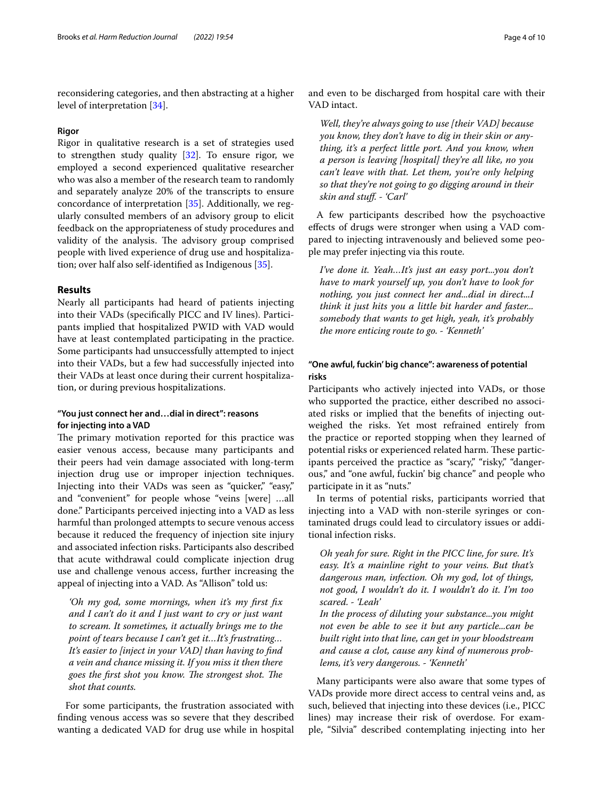reconsidering categories, and then abstracting at a higher level of interpretation [[34\]](#page-8-15).

## **Rigor**

Rigor in qualitative research is a set of strategies used to strengthen study quality [\[32](#page-8-13)]. To ensure rigor, we employed a second experienced qualitative researcher who was also a member of the research team to randomly and separately analyze 20% of the transcripts to ensure concordance of interpretation [\[35](#page-8-16)]. Additionally, we regularly consulted members of an advisory group to elicit feedback on the appropriateness of study procedures and validity of the analysis. The advisory group comprised people with lived experience of drug use and hospitalization; over half also self-identifed as Indigenous [\[35](#page-8-16)].

## **Results**

Nearly all participants had heard of patients injecting into their VADs (specifcally PICC and IV lines). Participants implied that hospitalized PWID with VAD would have at least contemplated participating in the practice. Some participants had unsuccessfully attempted to inject into their VADs, but a few had successfully injected into their VADs at least once during their current hospitalization, or during previous hospitalizations.

## **"You just connect her and…dial in direct": reasons for injecting into a VAD**

The primary motivation reported for this practice was easier venous access, because many participants and their peers had vein damage associated with long-term injection drug use or improper injection techniques. Injecting into their VADs was seen as "quicker," "easy," and "convenient" for people whose "veins [were] …all done." Participants perceived injecting into a VAD as less harmful than prolonged attempts to secure venous access because it reduced the frequency of injection site injury and associated infection risks. Participants also described that acute withdrawal could complicate injection drug use and challenge venous access, further increasing the appeal of injecting into a VAD. As "Allison" told us:

*'Oh my god, some mornings, when it's my frst fx and I can't do it and I just want to cry or just want to scream. It sometimes, it actually brings me to the point of tears because I can't get it…It's frustrating… It's easier to [inject in your VAD] than having to fnd a vein and chance missing it. If you miss it then there*  goes the first shot you know. The strongest shot. The *shot that counts.*

For some participants, the frustration associated with fnding venous access was so severe that they described wanting a dedicated VAD for drug use while in hospital and even to be discharged from hospital care with their VAD intact.

*Well, they're always going to use [their VAD] because you know, they don't have to dig in their skin or anything, it's a perfect little port. And you know, when a person is leaving [hospital] they're all like, no you can't leave with that. Let them, you're only helping so that they're not going to go digging around in their skin and stuf. - 'Carl'*

A few participants described how the psychoactive efects of drugs were stronger when using a VAD compared to injecting intravenously and believed some people may prefer injecting via this route.

*I've done it. Yeah…It's just an easy port...you don't have to mark yourself up, you don't have to look for nothing, you just connect her and...dial in direct...I think it just hits you a little bit harder and faster... somebody that wants to get high, yeah, it's probably the more enticing route to go. - 'Kenneth'*

## **"One awful, fuckin' big chance": awareness of potential risks**

Participants who actively injected into VADs, or those who supported the practice, either described no associated risks or implied that the benefts of injecting outweighed the risks. Yet most refrained entirely from the practice or reported stopping when they learned of potential risks or experienced related harm. These participants perceived the practice as "scary," "risky," "dangerous," and "one awful, fuckin' big chance" and people who participate in it as "nuts."

In terms of potential risks, participants worried that injecting into a VAD with non-sterile syringes or contaminated drugs could lead to circulatory issues or additional infection risks.

*Oh yeah for sure. Right in the PICC line, for sure. It's easy. It's a mainline right to your veins. But that's dangerous man, infection. Oh my god, lot of things, not good, I wouldn't do it. I wouldn't do it. I'm too scared. - 'Leah'*

*In the process of diluting your substance...you might not even be able to see it but any particle...can be built right into that line, can get in your bloodstream and cause a clot, cause any kind of numerous problems, it's very dangerous. - 'Kenneth'*

Many participants were also aware that some types of VADs provide more direct access to central veins and, as such, believed that injecting into these devices (i.e., PICC lines) may increase their risk of overdose. For example, "Silvia" described contemplating injecting into her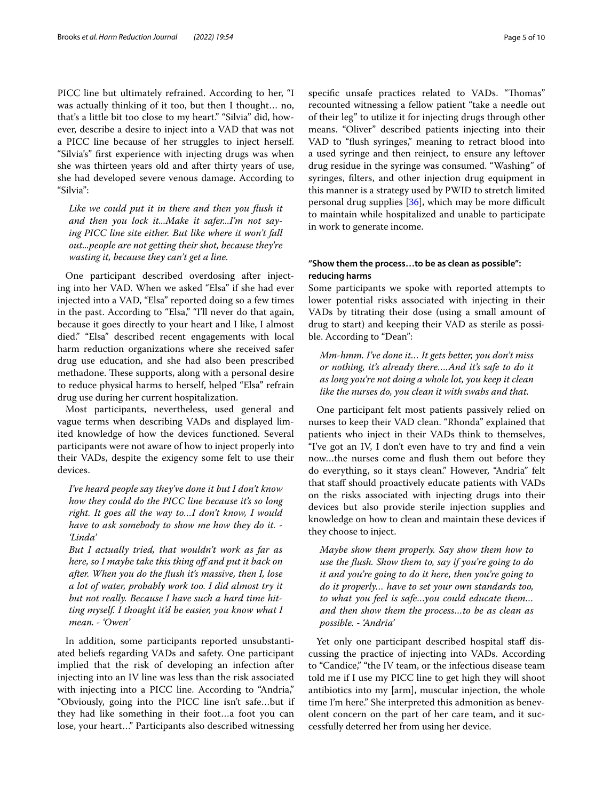PICC line but ultimately refrained. According to her, "I was actually thinking of it too, but then I thought… no, that's a little bit too close to my heart." "Silvia" did, however, describe a desire to inject into a VAD that was not a PICC line because of her struggles to inject herself. "Silvia's" frst experience with injecting drugs was when she was thirteen years old and after thirty years of use, she had developed severe venous damage. According to "Silvia":

*Like we could put it in there and then you fush it and then you lock it...Make it safer...I'm not saying PICC line site either. But like where it won't fall out...people are not getting their shot, because they're wasting it, because they can't get a line.*

One participant described overdosing after injecting into her VAD. When we asked "Elsa" if she had ever injected into a VAD, "Elsa" reported doing so a few times in the past. According to "Elsa," "I'll never do that again, because it goes directly to your heart and I like, I almost died." "Elsa" described recent engagements with local harm reduction organizations where she received safer drug use education, and she had also been prescribed methadone. These supports, along with a personal desire to reduce physical harms to herself, helped "Elsa" refrain drug use during her current hospitalization.

Most participants, nevertheless, used general and vague terms when describing VADs and displayed limited knowledge of how the devices functioned. Several participants were not aware of how to inject properly into their VADs, despite the exigency some felt to use their devices.

*I've heard people say they've done it but I don't know how they could do the PICC line because it's so long right. It goes all the way to…I don't know, I would have to ask somebody to show me how they do it. - 'Linda'*

*But I actually tried, that wouldn't work as far as here, so I maybe take this thing of and put it back on after. When you do the fush it's massive, then I, lose a lot of water, probably work too. I did almost try it but not really. Because I have such a hard time hitting myself. I thought it'd be easier, you know what I mean. - 'Owen'*

In addition, some participants reported unsubstantiated beliefs regarding VADs and safety. One participant implied that the risk of developing an infection after injecting into an IV line was less than the risk associated with injecting into a PICC line. According to "Andria," "Obviously, going into the PICC line isn't safe…but if they had like something in their foot…a foot you can lose, your heart…" Participants also described witnessing specific unsafe practices related to VADs. "Thomas" recounted witnessing a fellow patient "take a needle out of their leg" to utilize it for injecting drugs through other means. "Oliver" described patients injecting into their VAD to "flush syringes," meaning to retract blood into a used syringe and then reinject, to ensure any leftover drug residue in the syringe was consumed. "Washing" of syringes, flters, and other injection drug equipment in this manner is a strategy used by PWID to stretch limited personal drug supplies  $[36]$ , which may be more difficult to maintain while hospitalized and unable to participate in work to generate income.

## **"Show them the process…to be as clean as possible": reducing harms**

Some participants we spoke with reported attempts to lower potential risks associated with injecting in their VADs by titrating their dose (using a small amount of drug to start) and keeping their VAD as sterile as possible. According to "Dean":

*Mm-hmm. I've done it… It gets better, you don't miss or nothing, it's already there….And it's safe to do it as long you're not doing a whole lot, you keep it clean like the nurses do, you clean it with swabs and that.*

One participant felt most patients passively relied on nurses to keep their VAD clean. "Rhonda" explained that patients who inject in their VADs think to themselves, "I've got an IV, I don't even have to try and fnd a vein now…the nurses come and fush them out before they do everything, so it stays clean." However, "Andria" felt that staf should proactively educate patients with VADs on the risks associated with injecting drugs into their devices but also provide sterile injection supplies and knowledge on how to clean and maintain these devices if they choose to inject.

*Maybe show them properly. Say show them how to use the fush. Show them to, say if you're going to do it and you're going to do it here, then you're going to do it properly… have to set your own standards too, to what you feel is safe…you could educate them… and then show them the process…to be as clean as possible. - 'Andria'*

Yet only one participant described hospital staff discussing the practice of injecting into VADs. According to "Candice," "the IV team, or the infectious disease team told me if I use my PICC line to get high they will shoot antibiotics into my [arm], muscular injection, the whole time I'm here." She interpreted this admonition as benevolent concern on the part of her care team, and it successfully deterred her from using her device.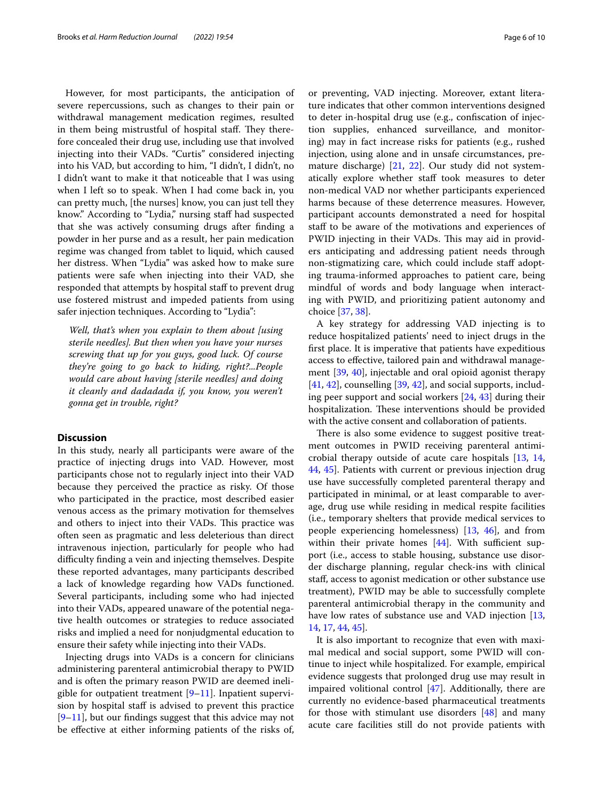However, for most participants, the anticipation of severe repercussions, such as changes to their pain or withdrawal management medication regimes, resulted in them being mistrustful of hospital staff. They therefore concealed their drug use, including use that involved injecting into their VADs. "Curtis" considered injecting into his VAD, but according to him, "I didn't, I didn't, no I didn't want to make it that noticeable that I was using when I left so to speak. When I had come back in, you can pretty much, [the nurses] know, you can just tell they know." According to "Lydia," nursing staf had suspected that she was actively consuming drugs after fnding a powder in her purse and as a result, her pain medication regime was changed from tablet to liquid, which caused her distress. When "Lydia" was asked how to make sure patients were safe when injecting into their VAD, she responded that attempts by hospital staff to prevent drug use fostered mistrust and impeded patients from using safer injection techniques. According to "Lydia":

*Well, that's when you explain to them about [using sterile needles]. But then when you have your nurses screwing that up for you guys, good luck. Of course they're going to go back to hiding, right?...People would care about having [sterile needles] and doing it cleanly and dadadada if, you know, you weren't gonna get in trouble, right?*

## **Discussion**

In this study, nearly all participants were aware of the practice of injecting drugs into VAD. However, most participants chose not to regularly inject into their VAD because they perceived the practice as risky. Of those who participated in the practice, most described easier venous access as the primary motivation for themselves and others to inject into their VADs. This practice was often seen as pragmatic and less deleterious than direct intravenous injection, particularly for people who had difculty fnding a vein and injecting themselves. Despite these reported advantages, many participants described a lack of knowledge regarding how VADs functioned. Several participants, including some who had injected into their VADs, appeared unaware of the potential negative health outcomes or strategies to reduce associated risks and implied a need for nonjudgmental education to ensure their safety while injecting into their VADs.

Injecting drugs into VADs is a concern for clinicians administering parenteral antimicrobial therapy to PWID and is often the primary reason PWID are deemed ineligible for outpatient treatment  $[9-11]$  $[9-11]$  $[9-11]$ . Inpatient supervision by hospital staff is advised to prevent this practice  $[9-11]$  $[9-11]$ , but our findings suggest that this advice may not be efective at either informing patients of the risks of, ture indicates that other common interventions designed to deter in-hospital drug use (e.g., confscation of injection supplies, enhanced surveillance, and monitoring) may in fact increase risks for patients (e.g., rushed injection, using alone and in unsafe circumstances, premature discharge) [[21,](#page-8-3) [22](#page-8-4)]. Our study did not systematically explore whether staf took measures to deter non-medical VAD nor whether participants experienced harms because of these deterrence measures. However, participant accounts demonstrated a need for hospital staff to be aware of the motivations and experiences of PWID injecting in their VADs. This may aid in providers anticipating and addressing patient needs through non-stigmatizing care, which could include staf adopting trauma-informed approaches to patient care, being mindful of words and body language when interacting with PWID, and prioritizing patient autonomy and choice [[37](#page-8-18), [38\]](#page-8-19).

A key strategy for addressing VAD injecting is to reduce hospitalized patients' need to inject drugs in the frst place. It is imperative that patients have expeditious access to efective, tailored pain and withdrawal management [\[39](#page-8-20), [40](#page-8-21)], injectable and oral opioid agonist therapy [[41,](#page-8-22) [42](#page-8-23)], counselling [\[39](#page-8-20), [42\]](#page-8-23), and social supports, including peer support and social workers [[24](#page-8-6), [43](#page-8-24)] during their hospitalization. These interventions should be provided with the active consent and collaboration of patients.

There is also some evidence to suggest positive treatment outcomes in PWID receiving parenteral antimicrobial therapy outside of acute care hospitals [\[13](#page-7-13), [14](#page-7-14), [44,](#page-8-25) [45\]](#page-8-26). Patients with current or previous injection drug use have successfully completed parenteral therapy and participated in minimal, or at least comparable to average, drug use while residing in medical respite facilities (i.e., temporary shelters that provide medical services to people experiencing homelessness) [\[13](#page-7-13), [46](#page-8-27)], and from within their private homes  $[44]$  $[44]$ . With sufficient support (i.e., access to stable housing, substance use disorder discharge planning, regular check-ins with clinical staf, access to agonist medication or other substance use treatment), PWID may be able to successfully complete parenteral antimicrobial therapy in the community and have low rates of substance use and VAD injection [[13](#page-7-13), [14,](#page-7-14) [17,](#page-7-12) [44](#page-8-25), [45\]](#page-8-26).

It is also important to recognize that even with maximal medical and social support, some PWID will continue to inject while hospitalized. For example, empirical evidence suggests that prolonged drug use may result in impaired volitional control [[47\]](#page-8-28). Additionally, there are currently no evidence-based pharmaceutical treatments for those with stimulant use disorders [[48](#page-8-29)] and many acute care facilities still do not provide patients with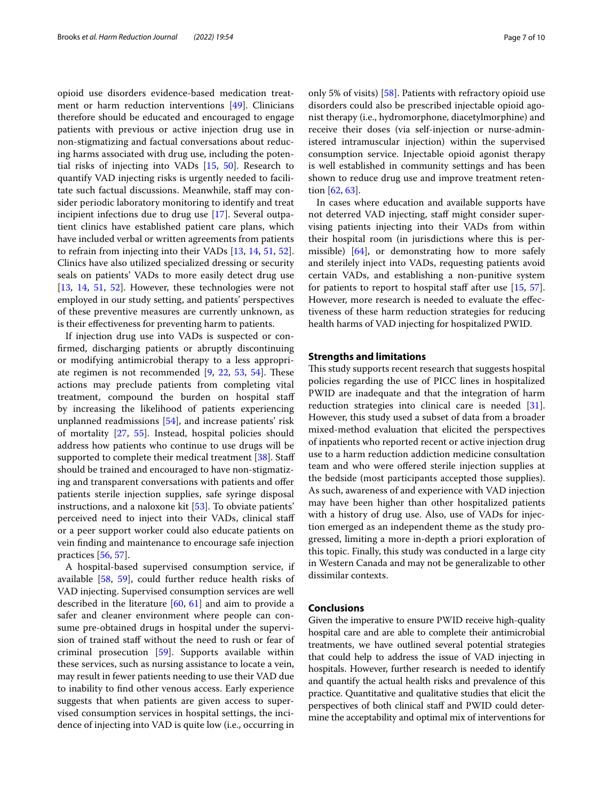opioid use disorders evidence-based medication treatment or harm reduction interventions [[49\]](#page-8-30). Clinicians therefore should be educated and encouraged to engage patients with previous or active injection drug use in non-stigmatizing and factual conversations about reducing harms associated with drug use, including the potential risks of injecting into VADs [\[15,](#page-7-10) [50\]](#page-8-31). Research to quantify VAD injecting risks is urgently needed to facilitate such factual discussions. Meanwhile, staff may consider periodic laboratory monitoring to identify and treat incipient infections due to drug use [\[17](#page-7-12)]. Several outpatient clinics have established patient care plans, which have included verbal or written agreements from patients to refrain from injecting into their VADs [[13,](#page-7-13) [14](#page-7-14), [51](#page-8-32), [52](#page-8-33)]. Clinics have also utilized specialized dressing or security seals on patients' VADs to more easily detect drug use [[13,](#page-7-13) [14](#page-7-14), [51](#page-8-32), [52\]](#page-8-33). However, these technologies were not employed in our study setting, and patients' perspectives of these preventive measures are currently unknown, as is their efectiveness for preventing harm to patients.

If injection drug use into VADs is suspected or confrmed, discharging patients or abruptly discontinuing or modifying antimicrobial therapy to a less appropriate regimen is not recommended  $[9, 22, 53, 54]$  $[9, 22, 53, 54]$  $[9, 22, 53, 54]$  $[9, 22, 53, 54]$  $[9, 22, 53, 54]$  $[9, 22, 53, 54]$  $[9, 22, 53, 54]$  $[9, 22, 53, 54]$  $[9, 22, 53, 54]$ . These actions may preclude patients from completing vital treatment, compound the burden on hospital staf by increasing the likelihood of patients experiencing unplanned readmissions [[54\]](#page-8-35), and increase patients' risk of mortality [[27](#page-8-8), [55](#page-9-0)]. Instead, hospital policies should address how patients who continue to use drugs will be supported to complete their medical treatment [\[38](#page-8-19)]. Staff should be trained and encouraged to have non-stigmatizing and transparent conversations with patients and offer patients sterile injection supplies, safe syringe disposal instructions, and a naloxone kit [\[53](#page-8-34)]. To obviate patients' perceived need to inject into their VADs, clinical staf or a peer support worker could also educate patients on vein fnding and maintenance to encourage safe injection practices [[56,](#page-9-1) [57\]](#page-9-2).

A hospital-based supervised consumption service, if available [[58](#page-9-3), [59](#page-9-4)], could further reduce health risks of VAD injecting. Supervised consumption services are well described in the literature [\[60](#page-9-5), [61\]](#page-9-6) and aim to provide a safer and cleaner environment where people can consume pre-obtained drugs in hospital under the supervision of trained staff without the need to rush or fear of criminal prosecution [\[59](#page-9-4)]. Supports available within these services, such as nursing assistance to locate a vein, may result in fewer patients needing to use their VAD due to inability to fnd other venous access. Early experience suggests that when patients are given access to supervised consumption services in hospital settings, the incidence of injecting into VAD is quite low (i.e., occurring in only 5% of visits) [\[58](#page-9-3)]. Patients with refractory opioid use disorders could also be prescribed injectable opioid agonist therapy (i.e., hydromorphone, diacetylmorphine) and receive their doses (via self-injection or nurse-administered intramuscular injection) within the supervised consumption service. Injectable opioid agonist therapy is well established in community settings and has been shown to reduce drug use and improve treatment retention [[62,](#page-9-7) [63\]](#page-9-8).

In cases where education and available supports have not deterred VAD injecting, staf might consider supervising patients injecting into their VADs from within their hospital room (in jurisdictions where this is permissible) [\[64](#page-9-9)], or demonstrating how to more safely and sterilely inject into VADs, requesting patients avoid certain VADs, and establishing a non-punitive system for patients to report to hospital staff after use  $[15, 57]$  $[15, 57]$  $[15, 57]$  $[15, 57]$  $[15, 57]$ . However, more research is needed to evaluate the efectiveness of these harm reduction strategies for reducing health harms of VAD injecting for hospitalized PWID.

## **Strengths and limitations**

This study supports recent research that suggests hospital policies regarding the use of PICC lines in hospitalized PWID are inadequate and that the integration of harm reduction strategies into clinical care is needed [\[31](#page-8-12)]. However, this study used a subset of data from a broader mixed-method evaluation that elicited the perspectives of inpatients who reported recent or active injection drug use to a harm reduction addiction medicine consultation team and who were ofered sterile injection supplies at the bedside (most participants accepted those supplies). As such, awareness of and experience with VAD injection may have been higher than other hospitalized patients with a history of drug use. Also, use of VADs for injection emerged as an independent theme as the study progressed, limiting a more in-depth a priori exploration of this topic. Finally, this study was conducted in a large city in Western Canada and may not be generalizable to other dissimilar contexts.

## **Conclusions**

Given the imperative to ensure PWID receive high-quality hospital care and are able to complete their antimicrobial treatments, we have outlined several potential strategies that could help to address the issue of VAD injecting in hospitals. However, further research is needed to identify and quantify the actual health risks and prevalence of this practice. Quantitative and qualitative studies that elicit the perspectives of both clinical staf and PWID could determine the acceptability and optimal mix of interventions for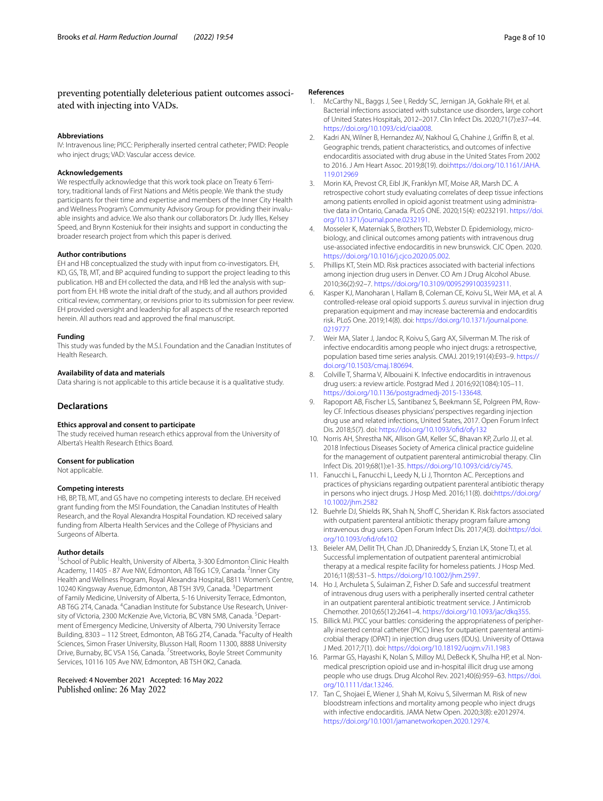#### **Abbreviations**

IV: Intravenous line; PICC: Peripherally inserted central catheter; PWID: People who inject drugs; VAD: Vascular access device.

#### **Acknowledgements**

We respectfully acknowledge that this work took place on Treaty 6 Territory, traditional lands of First Nations and Métis people. We thank the study participants for their time and expertise and members of the Inner City Health and Wellness Program's Community Advisory Group for providing their invaluable insights and advice. We also thank our collaborators Dr. Judy Illes, Kelsey Speed, and Brynn Kosteniuk for their insights and support in conducting the broader research project from which this paper is derived.

#### **Author contributions**

EH and HB conceptualized the study with input from co-investigators. EH, KD, GS, TB, MT, and BP acquired funding to support the project leading to this publication. HB and EH collected the data, and HB led the analysis with support from EH. HB wrote the initial draft of the study, and all authors provided critical review, commentary, or revisions prior to its submission for peer review. EH provided oversight and leadership for all aspects of the research reported herein. All authors read and approved the fnal manuscript.

#### **Funding**

This study was funded by the M.S.I. Foundation and the Canadian Institutes of Health Research.

#### **Availability of data and materials**

Data sharing is not applicable to this article because it is a qualitative study.

## **Declarations**

## **Ethics approval and consent to participate**

The study received human research ethics approval from the University of Alberta's Health Research Ethics Board.

#### **Consent for publication**

Not applicable.

#### **Competing interests**

HB, BP, TB, MT, and GS have no competing interests to declare. EH received grant funding from the MSI Foundation, the Canadian Institutes of Health Research, and the Royal Alexandra Hospital Foundation. KD received salary funding from Alberta Health Services and the College of Physicians and Surgeons of Alberta.

#### **Author details**

<sup>1</sup> School of Public Health, University of Alberta, 3-300 Edmonton Clinic Health Academy, 11405 - 87 Ave NW, Edmonton, AB T6G 1C9, Canada. <sup>2</sup>Inner City Health and Wellness Program, Royal Alexandra Hospital, B811 Women's Centre, 10240 Kingsway Avenue, Edmonton, AB T5H 3V9, Canada. <sup>3</sup> Department of Family Medicine, University of Alberta, 5-16 University Terrace, Edmonton, AB T6G 2T4, Canada. <sup>4</sup> Canadian Institute for Substance Use Research, University of Victoria, 2300 McKenzie Ave, Victoria, BC V8N 5M8, Canada. <sup>5</sup>Department of Emergency Medicine, University of Alberta, 790 University Terrace Building, 8303 - 112 Street, Edmonton, AB T6G 2T4, Canada. <sup>6</sup>Faculty of Health Sciences, Simon Fraser University, Blusson Hall, Room 11300, 8888 University Drive, Burnaby, BC V5A 1S6, Canada. <sup>7</sup> Streetworks, Boyle Street Community Services, 10116 105 Ave NW, Edmonton, AB T5H 0K2, Canada.

Received: 4 November 2021 Accepted: 16 May 2022

#### **References**

- <span id="page-7-0"></span>1. McCarthy NL, Baggs J, See I, Reddy SC, Jernigan JA, Gokhale RH, et al. Bacterial infections associated with substance use disorders, large cohort of United States Hospitals, 2012–2017. Clin Infect Dis. 2020;71(7):e37–44. [https://doi.org/10.1093/cid/ciaa008.](https://doi.org/10.1093/cid/ciaa008)
- 2. Kadri AN, Wilner B, Hernandez AV, Nakhoul G, Chahine J, Griffin B, et al. Geographic trends, patient characteristics, and outcomes of infective endocarditis associated with drug abuse in the United States From 2002 to 2016. J Am Heart Assoc. 2019;8(19). doi:[https://doi.org/10.1161/JAHA.](https://doi.org/10.1161/JAHA.119.012969) [119.012969](https://doi.org/10.1161/JAHA.119.012969)
- 3. Morin KA, Prevost CR, Eibl JK, Franklyn MT, Moise AR, Marsh DC. A retrospective cohort study evaluating correlates of deep tissue infections among patients enrolled in opioid agonist treatment using administrative data in Ontario, Canada. PLoS ONE. 2020;15(4): e0232191. [https://doi.](https://doi.org/10.1371/journal.pone.0232191) [org/10.1371/journal.pone.0232191](https://doi.org/10.1371/journal.pone.0232191).
- <span id="page-7-1"></span>4. Mosseler K, Materniak S, Brothers TD, Webster D. Epidemiology, microbiology, and clinical outcomes among patients with intravenous drug use-associated infective endocarditis in new brunswick. CJC Open. 2020. <https://doi.org/10.1016/j.cjco.2020.05.002>.
- <span id="page-7-2"></span>5. Phillips KT, Stein MD. Risk practices associated with bacterial infections among injection drug users in Denver. CO Am J Drug Alcohol Abuse. 2010;36(2):92–7. [https://doi.org/10.3109/00952991003592311.](https://doi.org/10.3109/00952991003592311)
- <span id="page-7-3"></span>6. Kasper KJ, Manoharan I, Hallam B, Coleman CE, Koivu SL, Weir MA, et al. A controlled-release oral opioid supports *S. aureus* survival in injection drug preparation equipment and may increase bacteremia and endocarditis risk. PLoS One. 2019;14(8). doi: [https://doi.org/10.1371/journal.pone.](https://doi.org/10.1371/journal.pone.0219777) [0219777](https://doi.org/10.1371/journal.pone.0219777)
- <span id="page-7-4"></span>7. Weir MA, Slater J, Jandoc R, Koivu S, Garg AX, Silverman M. The risk of infective endocarditis among people who inject drugs: a retrospective, population based time series analysis. CMAJ. 2019;191(4):E93–9. [https://](https://doi.org/10.1503/cmaj.180694) [doi.org/10.1503/cmaj.180694](https://doi.org/10.1503/cmaj.180694).
- <span id="page-7-5"></span>8. Colville T, Sharma V, Albouaini K. Infective endocarditis in intravenous drug users: a review article. Postgrad Med J. 2016;92(1084):105–11. <https://doi.org/10.1136/postgradmedj-2015-133648>.
- <span id="page-7-6"></span>9. Rapoport AB, Fischer LS, Santibanez S, Beekmann SE, Polgreen PM, Rowley CF. Infectious diseases physicians' perspectives regarding injection drug use and related infections, United States, 2017. Open Forum Infect Dis. 2018;5(7). doi: [https://doi.org/10.1093/ofd/ofy132](https://doi.org/10.1093/ofid/ofy132)
- <span id="page-7-7"></span>10. Norris AH, Shrestha NK, Allison GM, Keller SC, Bhavan KP, Zurlo JJ, et al. 2018 Infectious Diseases Society of America clinical practice guideline for the management of outpatient parenteral antimicrobial therapy. Clin Infect Dis. 2019;68(1):e1-35.<https://doi.org/10.1093/cid/ciy745>.
- <span id="page-7-8"></span>11. Fanucchi L, Fanucchi L, Leedy N, Li J, Thornton AC. Perceptions and practices of physicians regarding outpatient parenteral antibiotic therapy in persons who inject drugs. J Hosp Med. 2016;11(8). doi[:https://doi.org/](https://doi.org/10.1002/jhm.2582) [10.1002/jhm.2582](https://doi.org/10.1002/jhm.2582)
- <span id="page-7-9"></span>12. Buehrle DJ, Shields RK, Shah N, Shoff C, Sheridan K. Risk factors associated with outpatient parenteral antibiotic therapy program failure among intravenous drug users. Open Forum Infect Dis. 2017;4(3). doi[:https://doi.](https://doi.org/10.1093/ofid/ofx102) [org/10.1093/ofd/ofx102](https://doi.org/10.1093/ofid/ofx102)
- <span id="page-7-13"></span>13. Beieler AM, Dellit TH, Chan JD, Dhanireddy S, Enzian LK, Stone TJ, et al. Successful implementation of outpatient parenteral antimicrobial therapy at a medical respite facility for homeless patients. J Hosp Med. 2016;11(8):531–5. [https://doi.org/10.1002/jhm.2597.](https://doi.org/10.1002/jhm.2597)
- <span id="page-7-14"></span>14. Ho J, Archuleta S, Sulaiman Z, Fisher D. Safe and successful treatment of intravenous drug users with a peripherally inserted central catheter in an outpatient parenteral antibiotic treatment service. J Antimicrob Chemother. 2010;65(12):2641–4. [https://doi.org/10.1093/jac/dkq355.](https://doi.org/10.1093/jac/dkq355)
- <span id="page-7-10"></span>15. Billick MJ. PICC your battles: considering the appropriateness of peripherally inserted central catheter (PICC) lines for outpatient parenteral antimicrobial therapy (OPAT) in injection drug users (IDUs). University of Ottawa J Med. 2017;7(1). doi:<https://doi.org/10.18192/uojm.v7i1.1983>
- <span id="page-7-11"></span>16. Parmar GS, Hayashi K, Nolan S, Milloy MJ, DeBeck K, Shulha HP, et al. Nonmedical prescription opioid use and in-hospital illicit drug use among people who use drugs. Drug Alcohol Rev. 2021;40(6):959–63. [https://doi.](https://doi.org/10.1111/dar.13246) [org/10.1111/dar.13246](https://doi.org/10.1111/dar.13246).
- <span id="page-7-12"></span>17. Tan C, Shojaei E, Wiener J, Shah M, Koivu S, Silverman M. Risk of new bloodstream infections and mortality among people who inject drugs with infective endocarditis. JAMA Netw Open. 2020;3(8): e2012974. <https://doi.org/10.1001/jamanetworkopen.2020.12974>.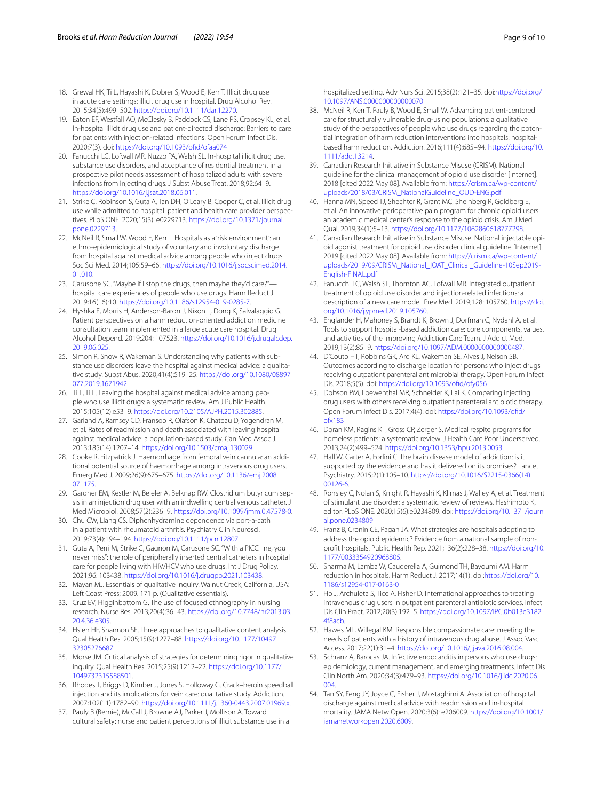- <span id="page-8-1"></span>18. Grewal HK, Ti L, Hayashi K, Dobrer S, Wood E, Kerr T. Illicit drug use in acute care settings: illicit drug use in hospital. Drug Alcohol Rev. 2015;34(5):499–502. <https://doi.org/10.1111/dar.12270>.
- <span id="page-8-2"></span>19. Eaton EF, Westfall AO, McClesky B, Paddock CS, Lane PS, Cropsey KL, et al. In-hospital illicit drug use and patient-directed discharge: Barriers to care for patients with injection-related infections. Open Forum Infect Dis. 2020;7(3). doi: [https://doi.org/10.1093/ofd/ofaa074](https://doi.org/10.1093/ofid/ofaa074)
- <span id="page-8-0"></span>20. Fanucchi LC, Lofwall MR, Nuzzo PA, Walsh SL. In-hospital illicit drug use, substance use disorders, and acceptance of residential treatment in a prospective pilot needs assessment of hospitalized adults with severe infections from injecting drugs. J Subst Abuse Treat. 2018;92:64–9. <https://doi.org/10.1016/j.jsat.2018.06.011>.
- <span id="page-8-3"></span>21. Strike C, Robinson S, Guta A, Tan DH, O'Leary B, Cooper C, et al. Illicit drug use while admitted to hospital: patient and health care provider perspectives. PLoS ONE. 2020;15(3): e0229713. [https://doi.org/10.1371/journal.](https://doi.org/10.1371/journal.pone.0229713) [pone.0229713](https://doi.org/10.1371/journal.pone.0229713).
- <span id="page-8-4"></span>22. McNeil R, Small W, Wood E, Kerr T. Hospitals as a 'risk environment': an ethno-epidemiological study of voluntary and involuntary discharge from hospital against medical advice among people who inject drugs. Soc Sci Med. 2014;105:59–66. [https://doi.org/10.1016/j.socscimed.2014.](https://doi.org/10.1016/j.socscimed.2014.01.010) [01.010](https://doi.org/10.1016/j.socscimed.2014.01.010).
- <span id="page-8-5"></span>23. Carusone SC. "Maybe if I stop the drugs, then maybe they'd care?" hospital care experiences of people who use drugs. Harm Reduct J. 2019;16(16):10. [https://doi.org/10.1186/s12954-019-0285-7.](https://doi.org/10.1186/s12954-019-0285-7)
- <span id="page-8-6"></span>24. Hyshka E, Morris H, Anderson-Baron J, Nixon L, Dong K, Salvalaggio G. Patient perspectives on a harm reduction-oriented addiction medicine consultation team implemented in a large acute care hospital. Drug Alcohol Depend. 2019;204: 107523. [https://doi.org/10.1016/j.drugalcdep.](https://doi.org/10.1016/j.drugalcdep.2019.06.025) [2019.06.025](https://doi.org/10.1016/j.drugalcdep.2019.06.025).
- <span id="page-8-7"></span>25. Simon R, Snow R, Wakeman S. Understanding why patients with substance use disorders leave the hospital against medical advice: a qualitative study. Subst Abus. 2020;41(4):519–25. [https://doi.org/10.1080/08897](https://doi.org/10.1080/08897077.2019.1671942) [077.2019.1671942.](https://doi.org/10.1080/08897077.2019.1671942)
- 26. Ti L, Ti L. Leaving the hospital against medical advice among people who use illicit drugs: a systematic review. Am J Public Health. 2015;105(12):e53–9. <https://doi.org/10.2105/AJPH.2015.302885>.
- <span id="page-8-8"></span>27. Garland A, Ramsey CD, Fransoo R, Olafson K, Chateau D, Yogendran M, et al. Rates of readmission and death associated with leaving hospital against medical advice: a population-based study. Can Med Assoc J. 2013;185(14):1207–14. <https://doi.org/10.1503/cmaj.130029>.
- <span id="page-8-9"></span>28. Cooke R, Fitzpatrick J. Haemorrhage from femoral vein cannula: an additional potential source of haemorrhage among intravenous drug users. Emerg Med J. 2009;26(9):675–675. [https://doi.org/10.1136/emj.2008.](https://doi.org/10.1136/emj.2008.071175) [071175.](https://doi.org/10.1136/emj.2008.071175)
- <span id="page-8-10"></span>29. Gardner EM, Kestler M, Beieler A, Belknap RW. Clostridium butyricum sepsis in an injection drug user with an indwelling central venous catheter. J Med Microbiol. 2008;57(2):236–9. [https://doi.org/10.1099/jmm.0.47578-0.](https://doi.org/10.1099/jmm.0.47578-0)
- <span id="page-8-11"></span>30. Chu CW, Liang CS. Diphenhydramine dependence via port-a-cath in a patient with rheumatoid arthritis. Psychiatry Clin Neurosci. 2019;73(4):194–194. [https://doi.org/10.1111/pcn.12807.](https://doi.org/10.1111/pcn.12807)
- <span id="page-8-12"></span>31. Guta A, Perri M, Strike C, Gagnon M, Carusone SC. "With a PICC line, you never miss": the role of peripherally inserted central catheters in hospital care for people living with HIV/HCV who use drugs. Int J Drug Policy. 2021;96: 103438. [https://doi.org/10.1016/j.drugpo.2021.103438.](https://doi.org/10.1016/j.drugpo.2021.103438)
- <span id="page-8-13"></span>32. Mayan MJ. Essentials of qualitative inquiry. Walnut Creek, California, USA: Left Coast Press; 2009. 171 p. (Qualitative essentials).
- <span id="page-8-14"></span>33. Cruz EV, Higginbottom G. The use of focused ethnography in nursing research. Nurse Res. 2013;20(4):36–43. [https://doi.org/10.7748/nr2013.03.](https://doi.org/10.7748/nr2013.03.20.4.36.e305) [20.4.36.e305.](https://doi.org/10.7748/nr2013.03.20.4.36.e305)
- <span id="page-8-15"></span>34. Hsieh HF, Shannon SE. Three approaches to qualitative content analysis. Qual Health Res. 2005;15(9):1277–88. [https://doi.org/10.1177/10497](https://doi.org/10.1177/1049732305276687) [32305276687.](https://doi.org/10.1177/1049732305276687)
- <span id="page-8-16"></span>35. Morse JM. Critical analysis of strategies for determining rigor in qualitative inquiry. Qual Health Res. 2015;25(9):1212–22. [https://doi.org/10.1177/](https://doi.org/10.1177/1049732315588501) [1049732315588501](https://doi.org/10.1177/1049732315588501).
- <span id="page-8-17"></span>36. Rhodes T, Briggs D, Kimber J, Jones S, Holloway G. Crack–heroin speedball injection and its implications for vein care: qualitative study. Addiction. 2007;102(11):1782–90. <https://doi.org/10.1111/j.1360-0443.2007.01969.x>.
- <span id="page-8-18"></span>37. Pauly B (Bernie), McCall J, Browne AJ, Parker J, Mollison A. Toward cultural safety: nurse and patient perceptions of illicit substance use in a

hospitalized setting. Adv Nurs Sci. 2015;38(2):121–35. doi[:https://doi.org/](https://doi.org/10.1097/ANS.0000000000000070) [10.1097/ANS.0000000000000070](https://doi.org/10.1097/ANS.0000000000000070)

- <span id="page-8-19"></span>38. McNeil R, Kerr T, Pauly B, Wood E, Small W. Advancing patient-centered care for structurally vulnerable drug-using populations: a qualitative study of the perspectives of people who use drugs regarding the potential integration of harm reduction interventions into hospitals: hospitalbased harm reduction. Addiction. 2016;111(4):685–94. [https://doi.org/10.](https://doi.org/10.1111/add.13214) [1111/add.13214](https://doi.org/10.1111/add.13214).
- <span id="page-8-20"></span>39. Canadian Research Initiative in Substance Misuse (CRISM). National guideline for the clinical management of opioid use disorder [Internet]. 2018 [cited 2022 May 08]. Available from: [https://crism.ca/wp-content/](https://crism.ca/wp-content/uploads/2018/03/CRISM_NationalGuideline_OUD-ENG.pdf) [uploads/2018/03/CRISM\\_NationalGuideline\\_OUD-ENG.pdf](https://crism.ca/wp-content/uploads/2018/03/CRISM_NationalGuideline_OUD-ENG.pdf)
- <span id="page-8-21"></span>40. Hanna MN, Speed TJ, Shechter R, Grant MC, Sheinberg R, Goldberg E, et al. An innovative perioperative pain program for chronic opioid users: an academic medical center's response to the opioid crisis. Am J Med Qual. 2019;34(1):5–13. [https://doi.org/10.1177/1062860618777298.](https://doi.org/10.1177/1062860618777298)
- <span id="page-8-22"></span>41. Canadian Research Initiative in Substance Misuse. National injectable opioid agonist treatment for opioid use disorder clinical guideline [Internet]. 2019 [cited 2022 May 08]. Available from: [https://crism.ca/wp-content/](https://crism.ca/wp-content/uploads/2019/09/CRISM_National_IOAT_Clinical_Guideline-10Sep2019-English-FINAL.pdf) [uploads/2019/09/CRISM\\_National\\_IOAT\\_Clinical\\_Guideline-10Sep2019-](https://crism.ca/wp-content/uploads/2019/09/CRISM_National_IOAT_Clinical_Guideline-10Sep2019-English-FINAL.pdf) [English-FINAL.pdf](https://crism.ca/wp-content/uploads/2019/09/CRISM_National_IOAT_Clinical_Guideline-10Sep2019-English-FINAL.pdf)
- <span id="page-8-23"></span>42. Fanucchi LC, Walsh SL, Thornton AC, Lofwall MR. Integrated outpatient treatment of opioid use disorder and injection-related infections: a description of a new care model. Prev Med. 2019;128: 105760. [https://doi.](https://doi.org/10.1016/j.ypmed.2019.105760) [org/10.1016/j.ypmed.2019.105760.](https://doi.org/10.1016/j.ypmed.2019.105760)
- <span id="page-8-24"></span>43. Englander H, Mahoney S, Brandt K, Brown J, Dorfman C, Nydahl A, et al. Tools to support hospital-based addiction care: core components, values, and activities of the Improving Addiction Care Team. J Addict Med. 2019;13(2):85–9. <https://doi.org/10.1097/ADM.0000000000000487>.
- <span id="page-8-25"></span>44. D'Couto HT, Robbins GK, Ard KL, Wakeman SE, Alves J, Nelson SB. Outcomes according to discharge location for persons who inject drugs receiving outpatient parenteral antimicrobial therapy. Open Forum Infect Dis. 2018;5(5). doi: [https://doi.org/10.1093/ofd/ofy056](https://doi.org/10.1093/ofid/ofy056)
- <span id="page-8-26"></span>45. Dobson PM, Loewenthal MR, Schneider K, Lai K. Comparing injecting drug users with others receiving outpatient parenteral antibiotic therapy. Open Forum Infect Dis. 2017;4(4). doi: [https://doi.org/10.1093/ofd/](https://doi.org/10.1093/ofid/ofx183) [ofx183](https://doi.org/10.1093/ofid/ofx183)
- <span id="page-8-27"></span>46. Doran KM, Ragins KT, Gross CP, Zerger S. Medical respite programs for homeless patients: a systematic review. J Health Care Poor Underserved. 2013;24(2):499–524. <https://doi.org/10.1353/hpu.2013.0053>.
- <span id="page-8-28"></span>47. Hall W, Carter A, Forlini C. The brain disease model of addiction: is it supported by the evidence and has it delivered on its promises? Lancet Psychiatry. 2015;2(1):105–10. [https://doi.org/10.1016/S2215-0366\(14\)](https://doi.org/10.1016/S2215-0366(14)00126-6) [00126-6.](https://doi.org/10.1016/S2215-0366(14)00126-6)
- <span id="page-8-29"></span>48. Ronsley C, Nolan S, Knight R, Hayashi K, Klimas J, Walley A, et al. Treatment of stimulant use disorder: a systematic review of reviews. Hashimoto K, editor. PLoS ONE. 2020;15(6):e0234809. doi: [https://doi.org/10.1371/journ](https://doi.org/10.1371/journal.pone.0234809) [al.pone.0234809](https://doi.org/10.1371/journal.pone.0234809)
- <span id="page-8-30"></span>49. Franz B, Cronin CE, Pagan JA. What strategies are hospitals adopting to address the opioid epidemic? Evidence from a national sample of nonproft hospitals. Public Health Rep. 2021;136(2):228–38. [https://doi.org/10.](https://doi.org/10.1177/0033354920968805) [1177/0033354920968805.](https://doi.org/10.1177/0033354920968805)
- <span id="page-8-31"></span>50. Sharma M, Lamba W, Cauderella A, Guimond TH, Bayoumi AM. Harm reduction in hospitals. Harm Reduct J. 2017;14(1). doi:[https://doi.org/10.](https://doi.org/10.1186/s12954-017-0163-0) [1186/s12954-017-0163-0](https://doi.org/10.1186/s12954-017-0163-0)
- <span id="page-8-32"></span>51. Ho J, Archuleta S, Tice A, Fisher D. International approaches to treating intravenous drug users in outpatient parenteral antibiotic services. Infect Dis Clin Pract. 2012;20(3):192–5. [https://doi.org/10.1097/IPC.0b013e3182](https://doi.org/10.1097/IPC.0b013e31824f8acb) [4f8acb.](https://doi.org/10.1097/IPC.0b013e31824f8acb)
- <span id="page-8-33"></span>52. Hawes ML, Willegal KM. Responsible compassionate care: meeting the needs of patients with a history of intravenous drug abuse. J Assoc Vasc Access. 2017;22(1):31–4. [https://doi.org/10.1016/j.java.2016.08.004.](https://doi.org/10.1016/j.java.2016.08.004)
- <span id="page-8-34"></span>53. Schranz A, Barocas JA. Infective endocarditis in persons who use drugs: epidemiology, current management, and emerging treatments. Infect Dis Clin North Am. 2020;34(3):479–93. [https://doi.org/10.1016/j.idc.2020.06.](https://doi.org/10.1016/j.idc.2020.06.004)  $0<sub>0</sub>4$
- <span id="page-8-35"></span>54. Tan SY, Feng JY, Joyce C, Fisher J, Mostaghimi A. Association of hospital discharge against medical advice with readmission and in-hospital mortality. JAMA Netw Open. 2020;3(6): e206009. [https://doi.org/10.1001/](https://doi.org/10.1001/jamanetworkopen.2020.6009) [jamanetworkopen.2020.6009.](https://doi.org/10.1001/jamanetworkopen.2020.6009)